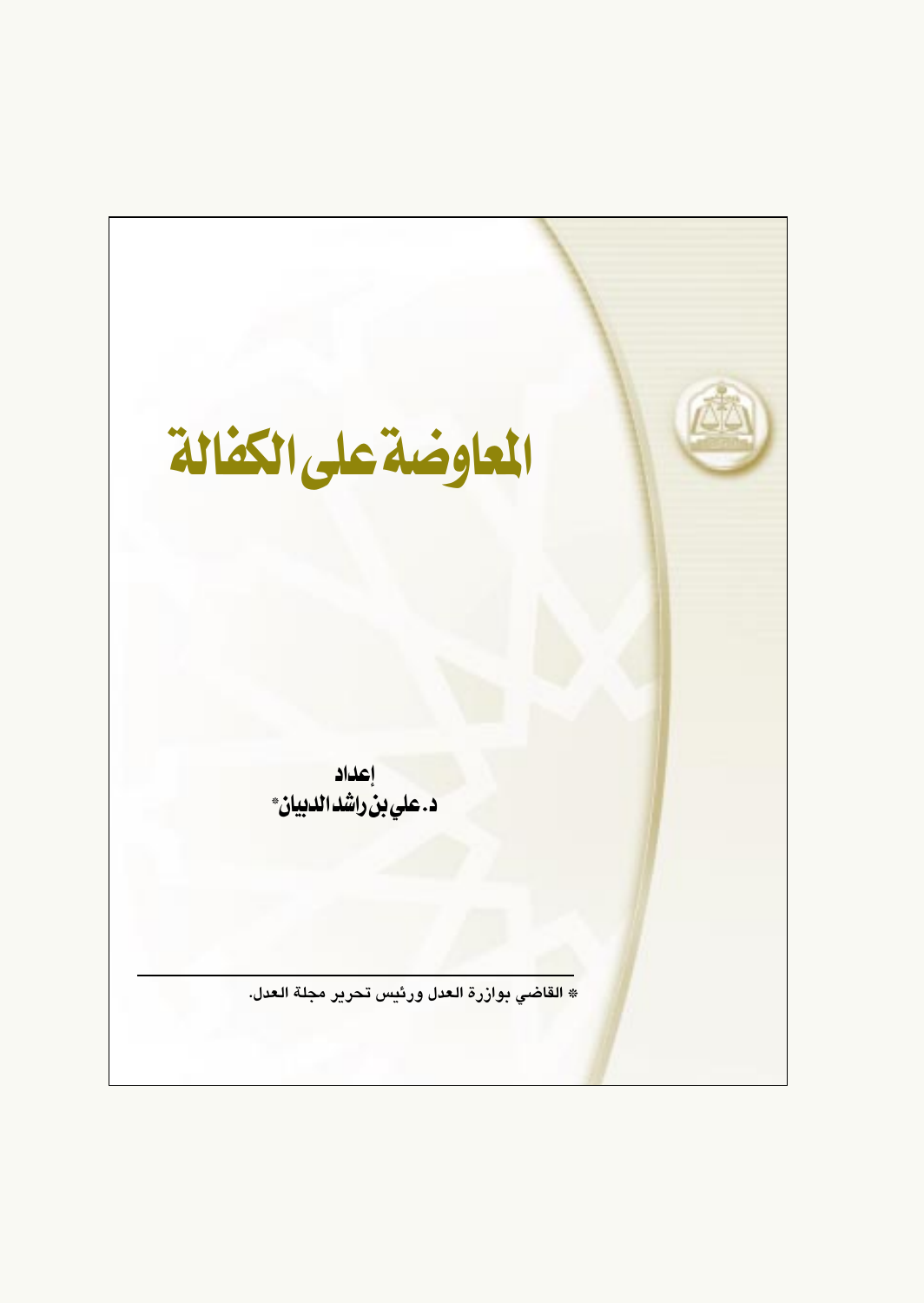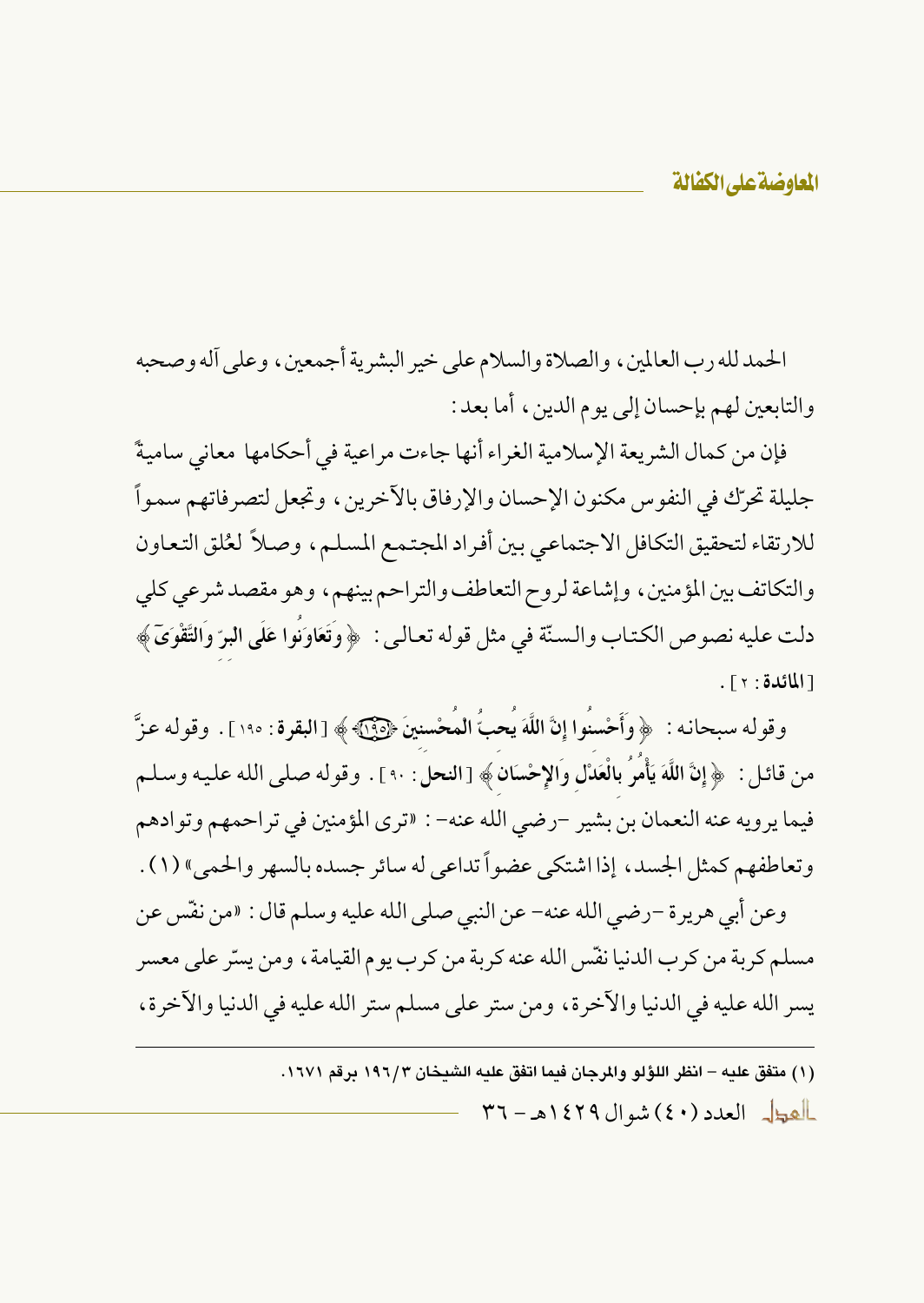الحمدلله رب العالمين، والصلاة والسلام على خير البشرية أجمعين، وعلى آله وصحبه والتابعين لهم بإحسان إلى يوم الدين، أما بعد :

فإن من كمال الشريعة الإسلامية الغراء أنها جاءت مراعية في أحكامها معاني ساميةً جليلة تحرِّك في النفو س مكنون الإحسان والإرفاق بالآخرين ، وتجعل لتصر فاتهم سمواً للارتقاء لتحقيق التكافل الاجتماعي بين أفراد المجتمع المسلم، وصلاً لعُلق التعاون والتكاتف بين المؤمنين، وإشاعة لروح التعاطف والتراحم بينهم، وهو مقصد شرعي كلي دلت عليه نصوص الكتاب والسنّة في مثل قوله تعالىي : ﴿ وَتَعَاوَنُوا عَلَى البرِّ وَالتَّقْوَىَ ﴾ [المائدة: ٢].

وقوله سبحانه : ﴿ وَأَحْسنُوا إِنَّ اللَّهَ يُحبُّ الْمُحْسنينَ ﴿٢٩٥﴾ [البقرة : ١٩٥] . وقوله عزَّ من قائل : ﴿ إِنَّ اللَّهَ يَأْمَرُ بِالْعَدْلِ وَالإِحْسَانِ﴾ [النحل : ٩٠ ] . وقوله صلى الله عليه وسلم فيما يرويه عنه النعمان بن بشير -رضي الله عنه- : «ترى المؤمنين في تراحمهم وتوادهم وتعاطفهم كمثل الجسد، إذا اشتكى عضواً تداعى له سائر جسده بالسهر والحمي» (١) .

وعن أبي هرير ة –رضي الله عنه– عن النبي صلى الله عليه وسلم قال : «من نفَّس عن مسلم كربة من كرب الدنيا نفَّس الله عنه كربة من كرب يوم القيامة ، ومن يسرّ على معسر يسر الله عليه في الدنيا والآخرة، ومن ستر على مسلم ستر الله عليه في الدنيا والآخرة،

> (١) متفق عليه – انظر اللؤلو والمرجان فيما اتفق عليه الشيخان ١٩٦/٣ برقم ١٦٧١. العطل العدد (٤٠) شوال ١٤٢٩هـ - ٣٦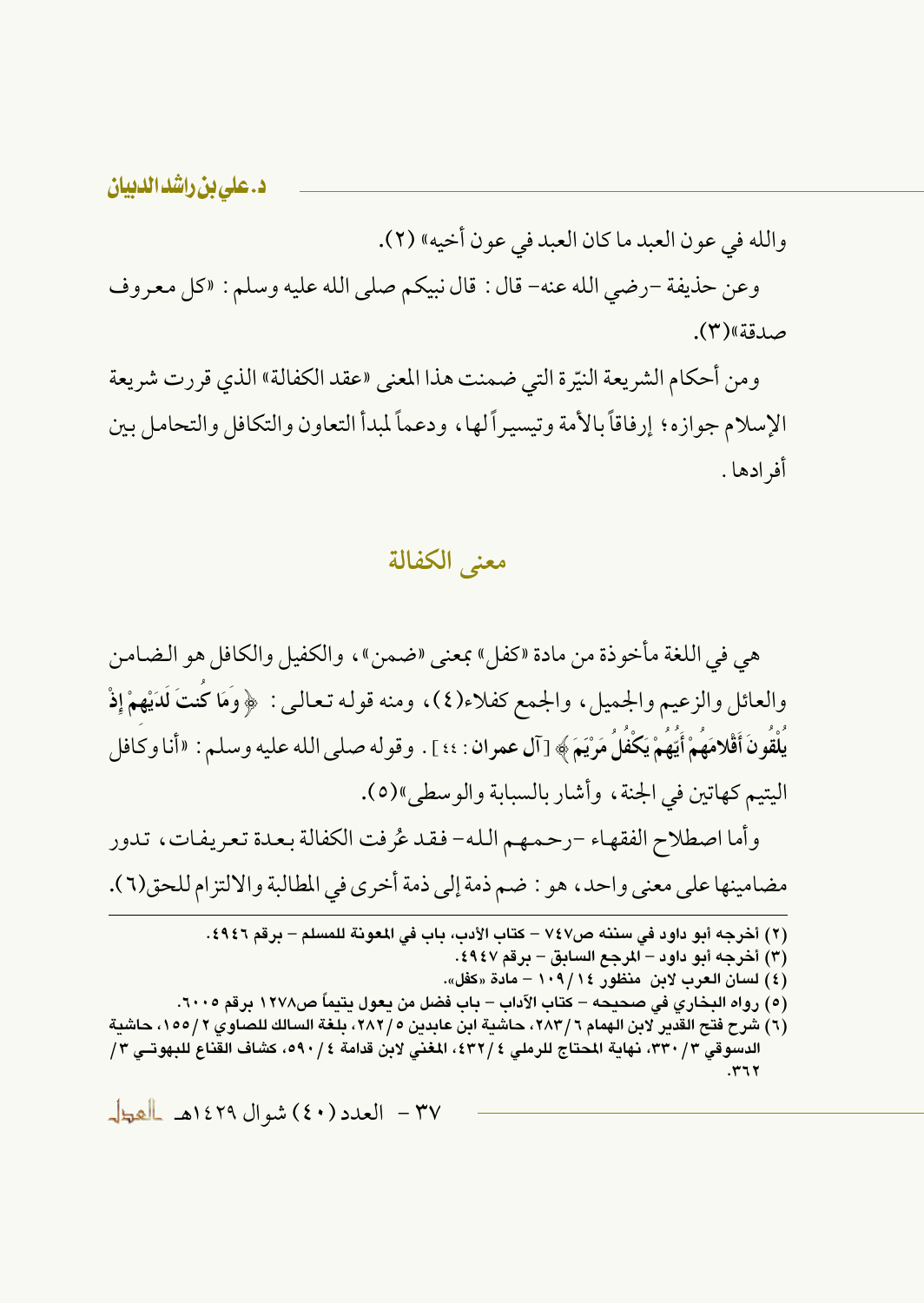والله في عون العبد ما كان العبد في عون أخيه» (٢).

وعن حذيفة -رضي الله عنه- قال : قال نبيكم صلى الله عليه وسلم : «كل معروف صدقة»(۳).

ومن أحكام الشريعة النيِّرة التي ضمنت هذا المعنى «عقد الكفالة» الذي قررت شريعة الإسلام جوازه؛ إرفاقاً بالأمة وتيسيراً لها، ودعماً لمبدأ التعاون والتكافل والتحامل بين أفر ادها .

معنى الكفالة

هي في اللغة مأخوذة من مادة «كفل» بمعنى «ضمن»، والكفيل والكافل هو الضامن والعائل والزعيم والجميل، والجمع كفلاء(٤)، ومنه قوله تعالى: ﴿وَمَا كُنتَ لَدَيْهِمْ إِذْ يَلْقُونَ أَقْلامَهُمْ أَيُّهُمْ يَكْفُلُ مَرْيَمَ ﴾ [آل عمر ان : ٤٤ ] . وقو له صلى الله عليه وسلم : «أنا وكافل اليتيم كهاتين في الجنة ، وأشار بالسبابة والوسطى»(٥).

وأما اصطلاح الفقهاء –رحمهم الله– فقد عُرفت الكفالة بعدة تعريفات، تدور مضامينها على معنى واحد ، هو : ضم ذمة إلى ذمة أخرى في المطالبة والالتزام للحق(٦).

(٢) أخرجه أبو داود في سننه ص٧٤٧ – كتاب الأدب، باب في المعونة للمسلم – برقم ٤٩٤٦. (٣) أخرجه أبو داود – المرجع السابق – برقم ٤٩٤٧. (٤) لسان العرب لابن منظور ١٠٩/ ١٠٩ – مادة «كفل». (٥) رواه البخاري في صحيحه – كتاب الآداب – باب فضل من يعول يتيماً ص١٢٧٨ برقم ٦٠٠٥. (٦) شرح فتح القدير لابن الهمام ٢ /٦٨٣، حاشية ابن عابدين ٢ /٢٨٢، بلغة السالك للصاوي ٢ /١٥٥، حاشية الدسوقي ٣/ ٣٣٠، نهاية المحتاج للرملي ٤ /٤٣٢، المغنى لابن قدامة ٤ / ٥٩٠، كشاف القناع للبهوتــي ٣/

 $.777$ 

٣٧ - العدد (٤٠) شوال ١٤٢٩هـ المعجل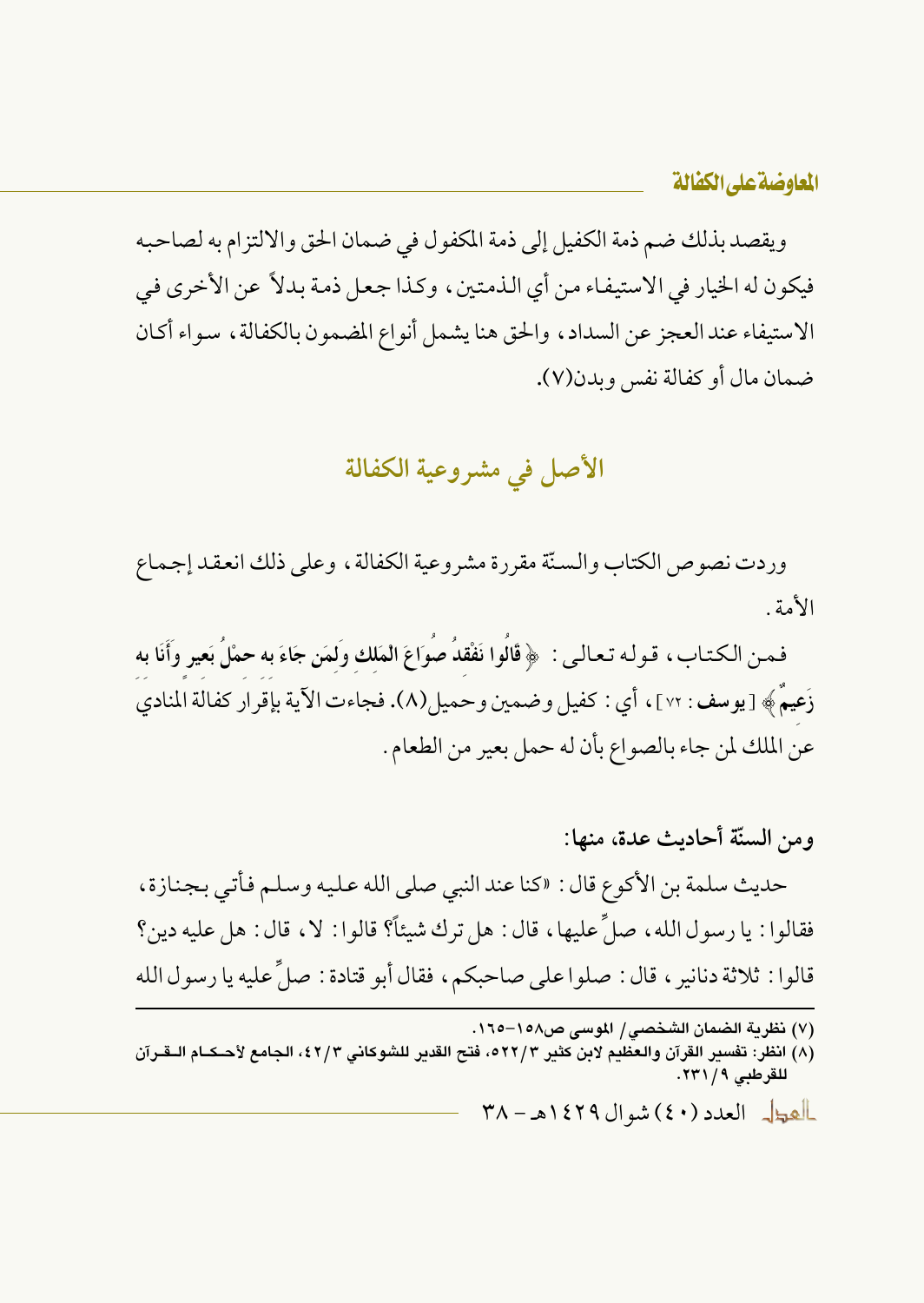المعاوضة على الكفالة

ويقصد بذلك ضم ذمة الكفيل إلى ذمة المكفول في ضمان الحق والالتزام به لصاحبه فيكون له الخيار في الاستيفاء من أي الذمتين، وكذا جعل ذمة بدلاً عن الأخرى في الاستيفاء عند العجز عن السداد، والحق هنا يشمل أنواع المضمون بالكفالة، سواء أكان ضمان مال أو كفالة نفس ويدن(٧).

## الأصل في مشروعية الكفالة

وردت نصوص الكتاب والسنَّة مقررة مشروعية الكفالة ، وعلى ذلك انعقد إجماع الأمة

فمن الكتاب، قوله تعالى: ﴿ قَالُوا نَفْقِدُ صُوَاعَ الْمَلكِ وَلَمَنِ جَاءَ بِهِ حَمْلُ بَعِيرٍ وَأَنَا بِه زَعِيمٌ ﴾ [يوسف : ٧٢]، أي : كفيل وضمين وحميل(٨). فجاءت الآية بإقرار كفالة المنادي عن الملك لمن جاء بالصواع بأن له حمل بعير من الطعام .

- ومن السنّة أحاديث عدة، منها: حديث سلمة بن الأكوع قال : «كنا عند النبي صلى الله عليه وسلم فأتبى بجنازة ، فقالوا : يا رسول الله ، صلِّ عليها ، قال : هل ترك شيئاً؟ قالوا : لا ، قال : هل عليه دين؟ قالوا : ثلاثة دنانير ، قال : صلوا على صاحبكم، فقال أبو قتادة : صلِّ عليه يا رسول الله
	- (٧) نظرية الضمان الشخصي/ الموسى ص١٥٨–١٦٥.

العطل العدد (٤٠) شوال ١٤٢٩هـ - ٣٨

<sup>(</sup>٨) انظر: تفسير القرآن والعظيم لابن كثير ٢٢/٣ه، فتح القدير للشوكاني ٤٢/٣، الجامع لأحـكــام الــقـرآن للقرطبي ١/ ٢٣١.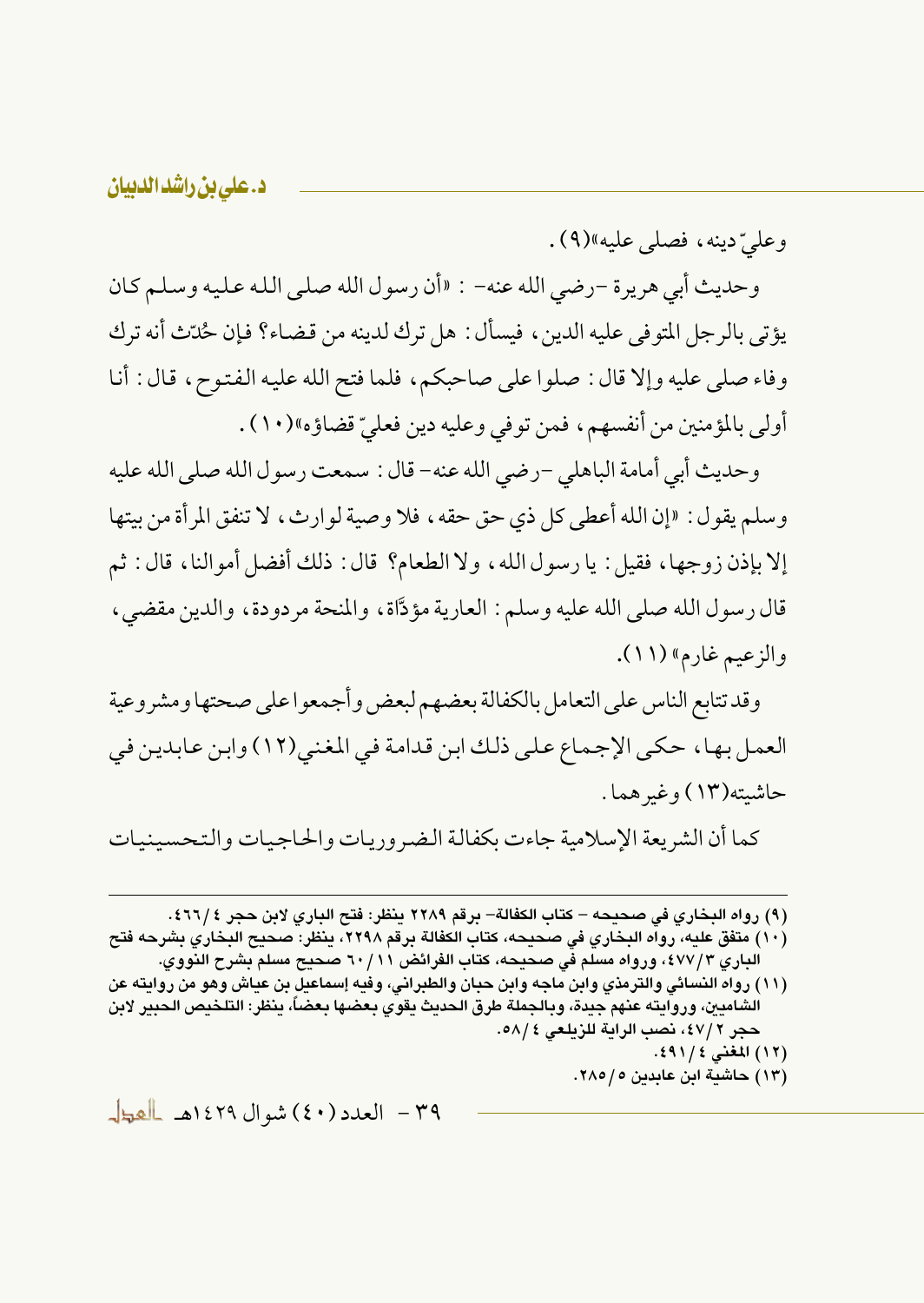وعليّ دينه، فصلي عليه»(٩).

وحديث أبي هريرة -رضي الله عنه- : «أن رسول الله صلى الله عليه وسلم كان يؤتي بالرجل المتوفى عليه الدين، فيسأل: هل ترك لدينه من قضاء؟ فإن حُدّت أنه ترك وفاء صلى عليه وإلا قال: صلوا على صاحبكم، فلما فتح الله عليه الفتوح، قال: أنا أولى بالمؤمنين من أنفسهم، فمن توفي وعليه دين فعليّ قضاؤه»(١٠) .

وحديث أبي أمامة الباهلي –رضي الله عنه– قال : سمعت رسول الله صلى الله عليه وسلم يقول: «إن الله أعطى كل ذي حق حقه ، فلا وصية لوارث ، لا تنفق المرأة من بيتها إلا بإذن زوجها، فقيل : يا رسول الله، ولا الطعام؟ قال : ذلك أفضل أموالنا، قال : ثم قال رسول الله صلى الله عليه وسلم: العارية مؤدَّاة، والمنحة مردودة، والدين مقضى، والزعيم غارم» (١١).

وقد تتابع الناس على التعامل بالكفالة بعضهم لبعض وأجمعوا على صحتها ومشروعية العمل بها، حكى الإجماع على ذلك ابن قدامة في المغنى(١٢) وابن عابدين في حاشيته(١٣) وغير هما .

كما أن الشريعة الإسلامية جاءت بكفالة الضروريات والحاجيات والتحسينيات

(٩) رواه البخاري في صحيحه – كتاب الكفالة– برقم ٢٢٨٩ ينظر: فتح الباري لابن حجر ٤٦٦/٤.

- (١٠) متفق عليه، رواه البخاري في صحيحه، كتاب الكفالة برقم ٢٢٩٨، ينظر: صحيح البخاري بشرحه فتح الباري ٤٧٧/٣، ورواه مسلم في صحيحه، كتاب الفرائض ٦٠/١١ صحيح مسلم بشرح النووي.
- (١١) رواه النسائي والترمذي وابن ماجه وابن حبان والطبراني، وفيه إسماعيل بن عياش وهو من روايته عن الشاميين، وروايته عنهم جيدة، وبالجملة طرق الحديث يقوي بعضها بعضاً، ينظر: التلخيص الحبير لابن حجر ٢ /٤٧، نصب الراية للزيلعي ٤ /٥٨. (١٢) المغنى ١١/٤٩١.
	- (١٣) حاشية ابن عابدين ٥/ ٢٨٥.

٣٩ - العدد (٤٠) شوال ١٤٢٩هـ العط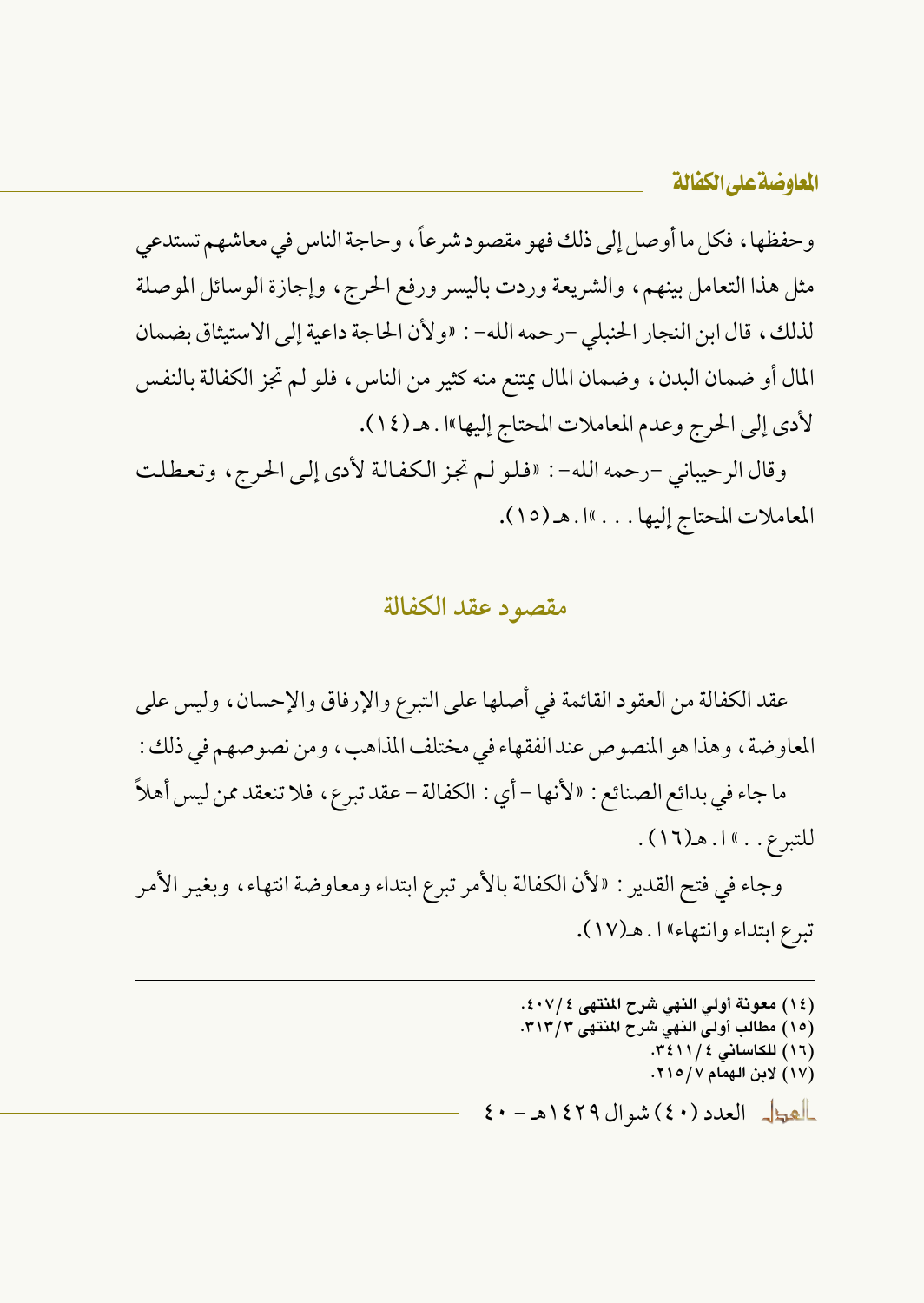وحفظها ، فكل ما أوصل إلى ذلك فهو مقصود شرعاً ، وحاجة الناس في معاشهم تستدعى مثل هذا التعامل بينهم، والشريعة وردت باليسر ورفع الحرج، وإجازة الوسائل الموصلة لذلك، قال ابن النجار الحنبلي -رحمه الله- : «ولأن الحاجة داعية إلى الاستيثاق بضمان المال أو ضمان البدن، وضمان المال يمتنع منه كثير من الناس، فلو لم تجز الكفالة بالنفس لأدى إلى الحرج وعدم المعاملات المحتاج إليها»ا . هـ (١٤).

وقال الرحيباني -رحمه الله- : «فلو لم تجز الكفالة لأدى إلى الحرج، وتعطلت المعاملات المحتاج إليها . . . »ا . هـ (١٥).

### مقصود عقد الكفالة

عقد الكفالة من العقود القائمة في أصلها على التبرع والإرفاق والإحسان، وليس على المعاوضة ، وهذا هو المنصوص عند الفقهاء في مختلف المذاهب ، ومن نصو صهم في ذلك : ما جاء في بدائع الصنائع : «لأنها – أي : الكفالة – عقد تبرع، فلا تنعقد ممن ليس أهلاً · للتبرع. . » ا. هـ(١٦). وجاء في فتح القدير : «لأن الكفالة بالأمر تبرع ابتداء ومعاوضة انتهاء، وبغير الأمر تبرع ابتداء وانتهاء» ۱. هـ(۱۷).

> (١٤) معونة أولى النهي شرح المنتهي ٤٠٧/٤. (١٥) مطالب أولى النهي شرح المنتهي ٣١٣/٣. (١٦) للكاساني ٢٤١١/٤. (١٧) لابن الهمام ٢١٥/٧. ألهول العدد (٤٠) شوال ١٤٢٩هـ - ٤٠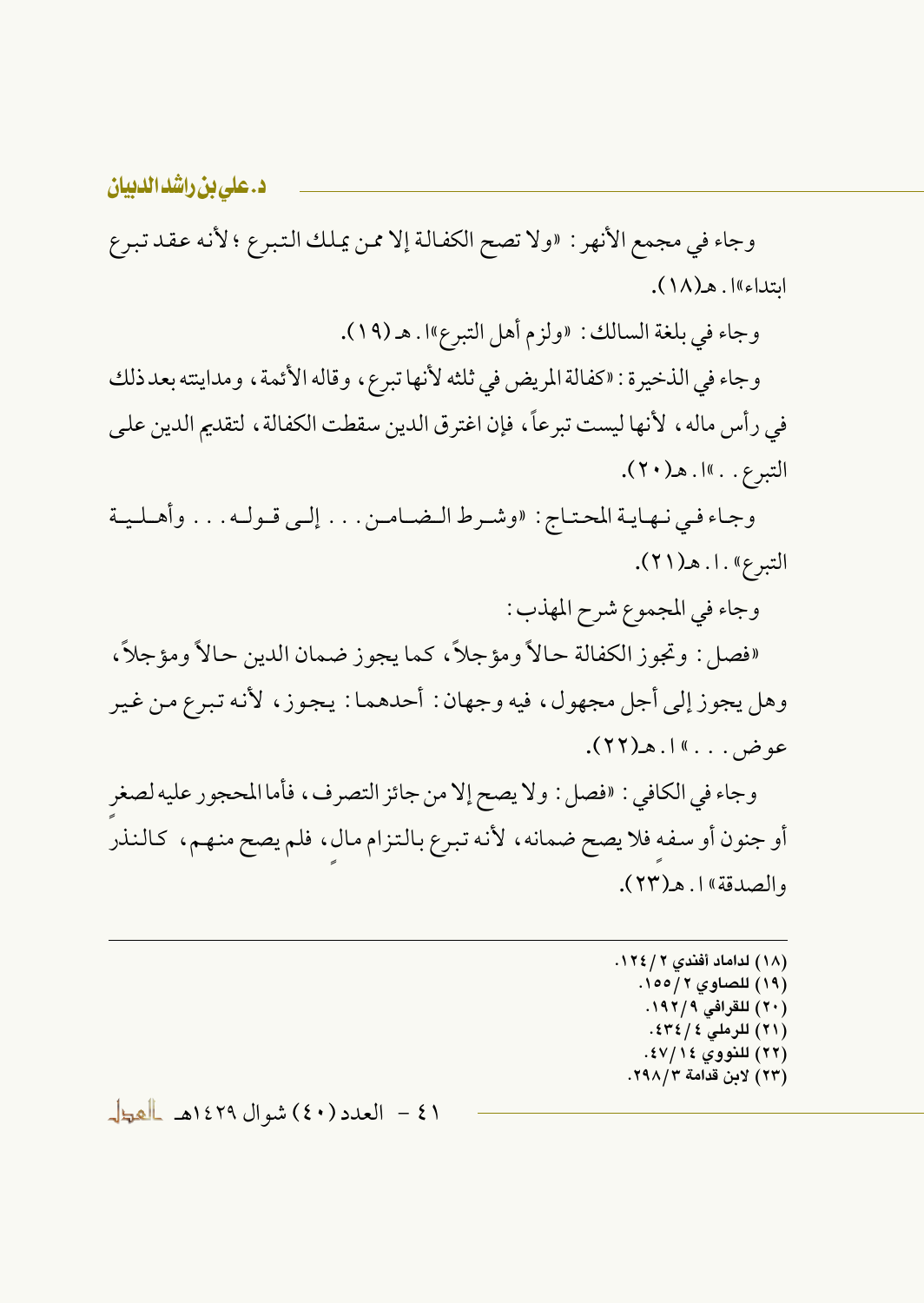وجاء في مجمع الأنهر : «ولا تصح الكفالة إلا ممن يملك التبرع ؛ لأنه عقد تبرع ابتداء) !. هـ(١٨).

وجاء في بلغة السالك : «ولزم أهل التبرع»ا . هـ (١٩).

وجاء في الذخيرة : «كفالة المريض في ثلثه لأنها تبرع، وقاله الأئمة، ومداينته بعد ذلك في رأس ماله ، لأنها ليست تبر عاً، فإن اغتر ق الدين سقطت الكفالة ، لتقديم الدين على التبرع. . »ا. هـ(٢٠).

وجاء في نهاية المحتاج: «وشرط الضامنن . . . إلى قـولـه . . . وأهـلـيـة التبرع» . ا . هـ (٢١).

وجاء في المجموع شرح المهذب :

«فصل : وتجوز الكفالة حالاً ومؤجلاً، كما يجوز ضمان الدين حالاً ومؤجلاً، وهل يجوز إلى أجل مجهول، فيه وجهان: أحدهما: يجوز، لأنه تبرع من غير عوض . . . » إ . ه (٢٢).

وجاء في الكافي : «فصل : ولا يصح إلا من جائز التصرف، فأما المحجور عليه لصغر أو جنون أو سفه فلا يصح ضمانه، لأنه تبرع بالتزام مال، فلم يصح منهم، كالنذر والصدقة» ( ٢٣).

> (١٨) لداماد أفندي ٢ / ١٢٤. (١٩) للصاوى ٢/١٥٥. (۲۰) للقرافي ۱۹۲/۹. (٢١) للرملي ٤٣٤/٤. (٢٢) للنووي ١٤٧/١٤. (٢٣) لابن قدامة ٢٩٨/٢.

(٤١ - العدد (٤٠) شوال ١٤٢٩هـ العطل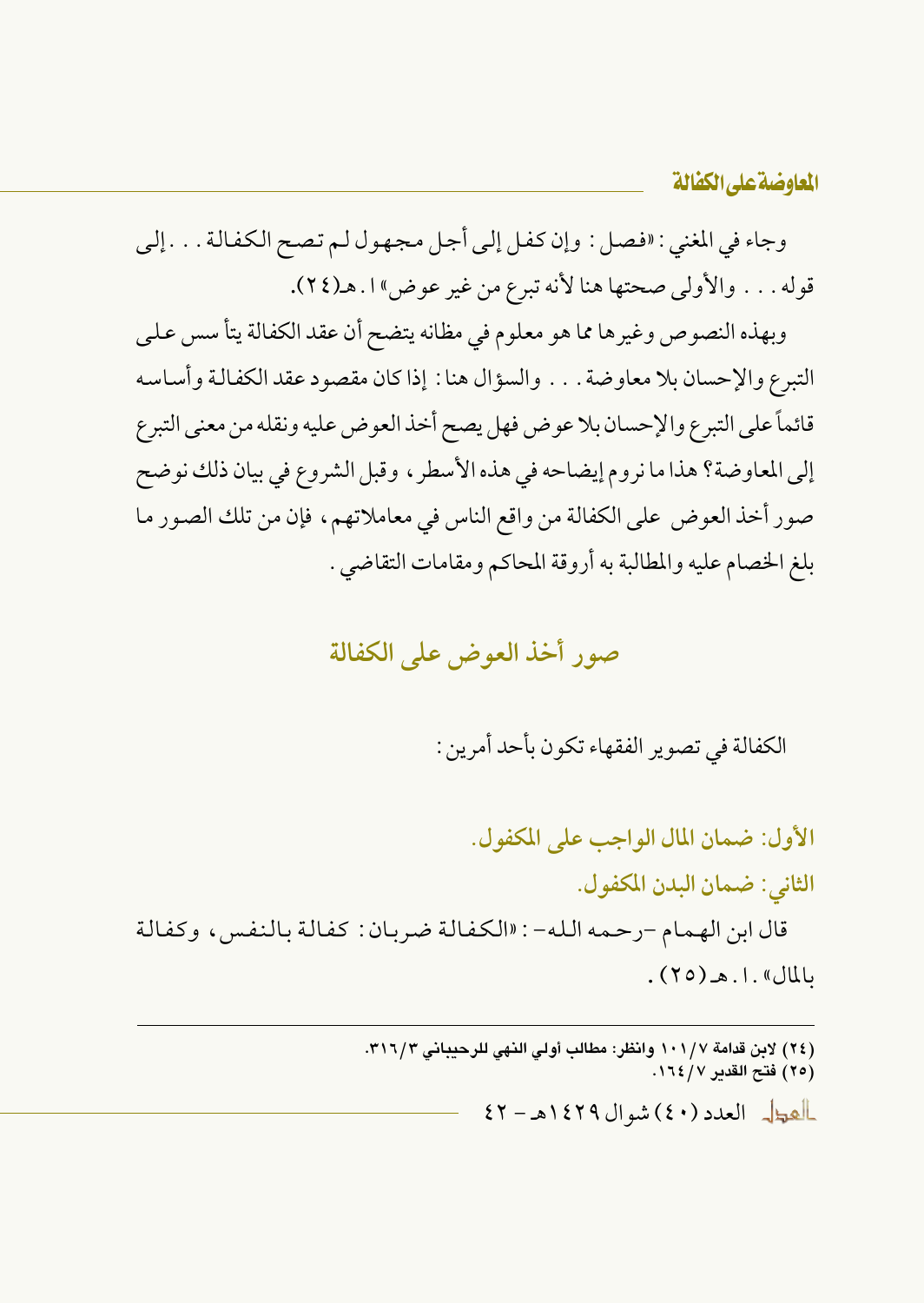المعاوضة على الكفالة

وجاء في المغنى : «فصل : وإن كفل إلى أجل مجهول لـم تصح الكفالة . . . إلى قوله . . . والأولى صحتها هنا لأنه تبرع من غير عوض" ا . هـ(٢٤).

وبهذه النصوص وغيرها مما هو معلوم في مظانه يتضح أن عقد الكفالة يتأ سس على التبرع والإحسان بلا معاوضة . . . والسؤال هنا : إذا كان مقصود عقد الكفالة وأساسه قائماً على التبرع والإحسان بلا عو ض فهل يصح أخذ العو ض عليه ونقله من معنى التبرع إلى المعاوضة؟ هذا ما نروم إيضاحه في هذه الأسطر ، وقبل الشروع في بيان ذلك نوضح صور أخذ العوض على الكفالة من واقع الناس في معاملاتهم، فإن من تلك الصور ما بلغ الخصام عليه والمطالبة به أروقة المحاكم ومقامات التقاضي .

### صور أخذ العوض على الكفالة

الكفالة في تصوير الفقهاء تكون بأحد أمرين :

الأول: ضمان المال الواجب على المكفول. الثاني: ضمان البدن المكفول. قال ابن الهمام -رحمه الله- : «الكفالة ضربان: كفالة بالنفس ، وكفالة  $JU(\mathfrak{so})$ . (  $\mathfrak{so}$  )

> (٢٤) لابن قدامة ١٠١/٧ وانظر: مطالب أولى النهي للرحيباني ٣١٦/٣. (٢٥) فتح القدير ١٦٤/٧.

> > العطل العدد (٤٠) شوال ١٤٢٩هـ - ٤٢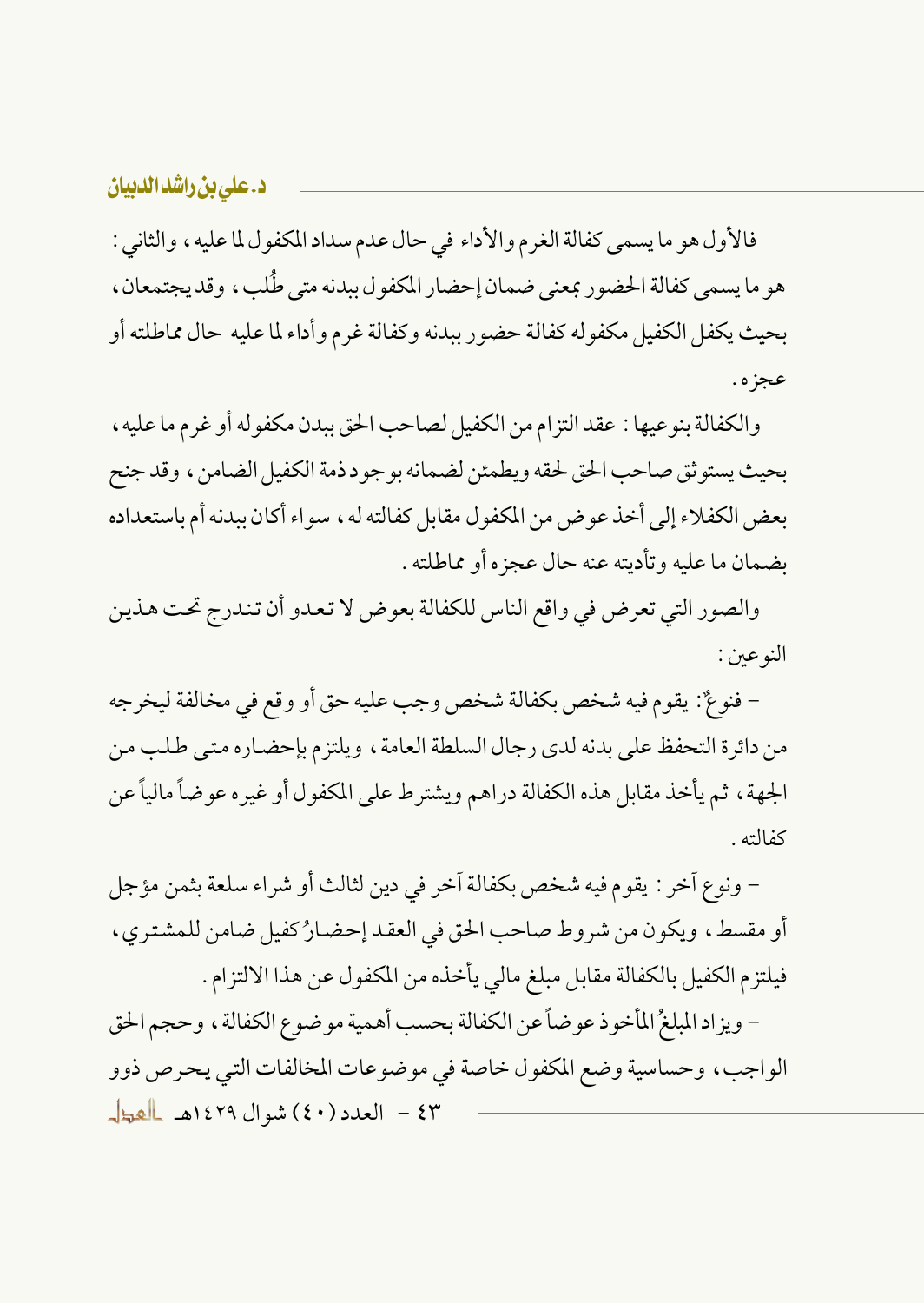فالأول هو ما يسمى كفالة الغرم والأداء في حال عدم سداد المكفول لما عليه ، والثاني : هو ما يسمى كفالة الحضور بمعنى ضمان إحضار المكفول ببدنه متى طُلب، وقد يجتمعان، بحيث يكفل الكفيل مكفوله كفالة حضور ببدنه وكفالة غرم وأداء لما عليه حال مماطلته أو عجزه .

والكفالة بنوعيها : عقد التزام من الكفيل لصاحب الحق ببدن مكفوله أو غرم ما عليه ، بحيث يستو ثق صاحب الحق لحقه ويطمئن لضمانه بوجو د ذمة الكفيل الضامن ، وقد جنح بعض الكفلاء إلى أخذ عوض من المكفول مقابل كفالته له ، سواء أكان ببدنه أم باستعداده بضمان ما عليه وتأديته عنه حال عجزه أو مماطلته .

والصور التي تعرض في واقع الناس للكفالة بعوض لا تعدو أن تندرج تحت هذين النوعين:

– فنوعٌ: يقوم فيه شخص بكفالة شخص وجب عليه حق أو وقع في مخالفة ليخرجه من دائرة التحفظ على بدنه لدى رجال السلطة العامة، ويلتزم بإحضاره متى طلب من الجهة ، ثم يأخذ مقابل هذه الكفالة دراهم ويشترط على المكفول أو غيره عوضاً مالياً عن كفالته .

– ونوع أخر : يقوم فيه شخص بكفالة أخر في دين لثالث أو شراء سلعة بثمن مؤجل أو مقسط، ويكون من شروط صاحب الحق في العقد إحضارُ كفيل ضامن للمشترى، فيلتزم الكفيل بالكفالة مقابل مبلغ مالي يأخذه من المكفول عن هذا الالتزام .

- ويزاد المبلغُ المأخوذ عوضاً عن الكفالة بحسب أهمية موضوع الكفالة، وحجم الحق الواجب، وحساسية وضع المكفول خاصة في موضوعات المخالفات التبي يحرص ذوو ٤٣ - العدد (٤٠) شوال ١٤٢٩هـ العطل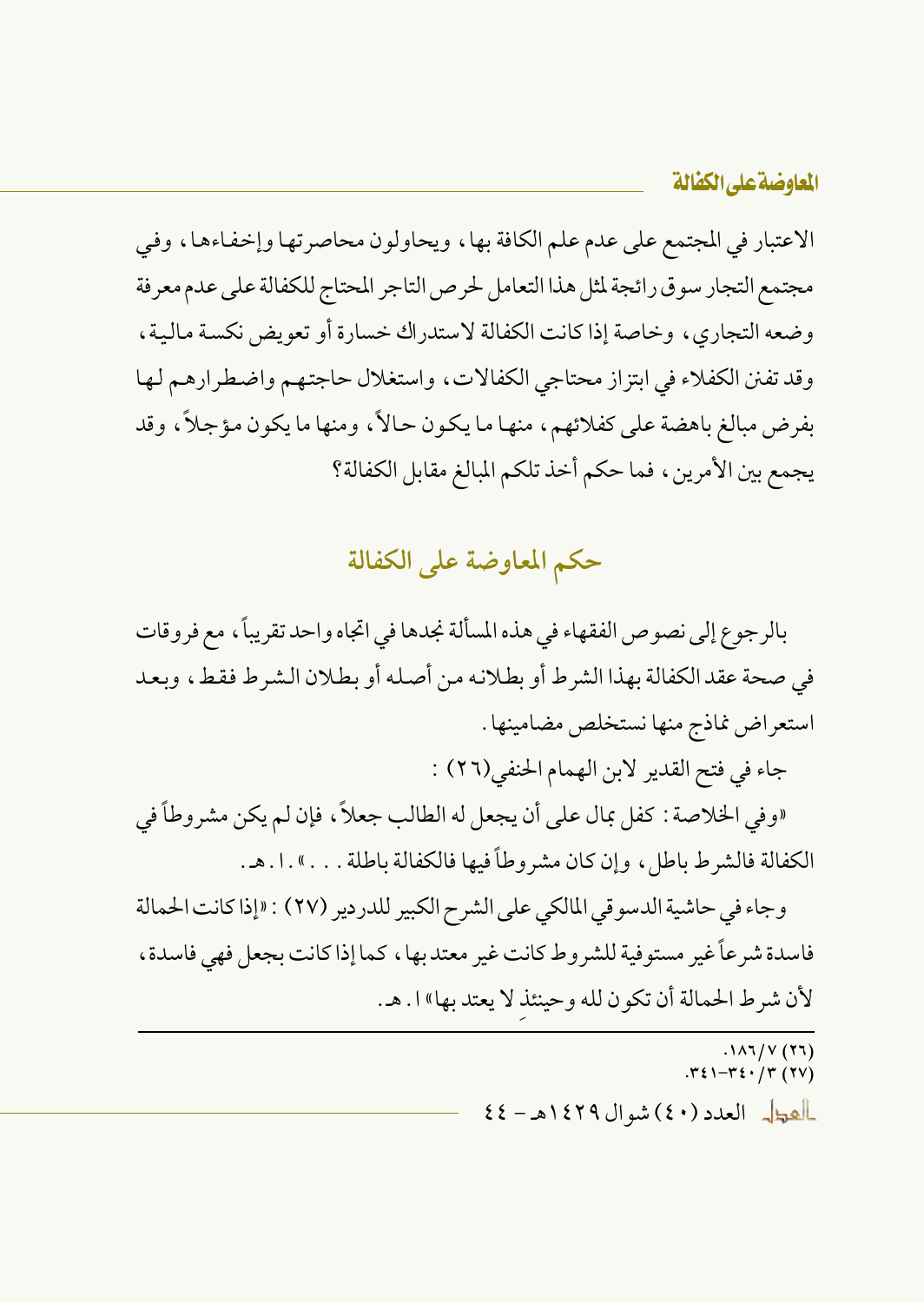الاعتبار في المجتمع على عدم علم الكافة بها، ويحاولون محاصرتها وإخفاءها، وفي مجتمع التجار سوق رائجة لمثل هذا التعامل لحرص التاجر المحتاج للكفالة على عدم معرفة وضعه التجاري، وخاصة إذا كانت الكفالة لاستدراك خسارة أو تعويض نكسة مالية، وقد تفنن الكفلاء في ابتزاز محتاجي الكفالات، واستغلال حاجتهم واضطرارهم لها بفرض مبالغ باهضة على كفلائهم، منها ما يكون حالاً، ومنها ما يكون مؤجلاً، وقد يجمع بين الأمرين، فما حكم أخذ تلكم المبالغ مقابل الكفالة؟

# حكم المعاوضة على الكفالة

بالرجوع إلى نصوص الفقهاء في هذه المسألة نجدها في اتجاه واحد تقريباً، مع فروقات في صحة عقد الكفالة بهذا الشرط أو بطلانه من أصله أو بطلان الشرط فقط، وبعد استعراض نماذج منها نستخلص مضامينها .

جاء في فتح القدير لابن الهمام الحنفي(٢٦) :

«وفي الخلاصة : كفل بمال على أن يجعل له الطالب جعلاً، فإن لم يكن مشروطاً في الكفالة فالشرط باطل، وإن كان مشروطاً فيها فالكفالة باطلة . . . » . ا . هـ .

وجاء في حاشية الدسو في المالكي على الشرح الكبير للدردير (٢٧) : «إذا كانت الحمالة فاسدة شرعاً غير مستوفية للشروط كانت غير معتد بها ، كما إذا كانت بجعل فهي فاسدة ، لأن شرط الحمالة أن تكون لله وحينئذ لا يعتد بها» ا. هـ.

> $(11)$   $V(Y)$ <br> $Y(1)$ .  $Y(1)$ العطل العدد (٤٠) شوال ١٤٢٩هـ - ٤٤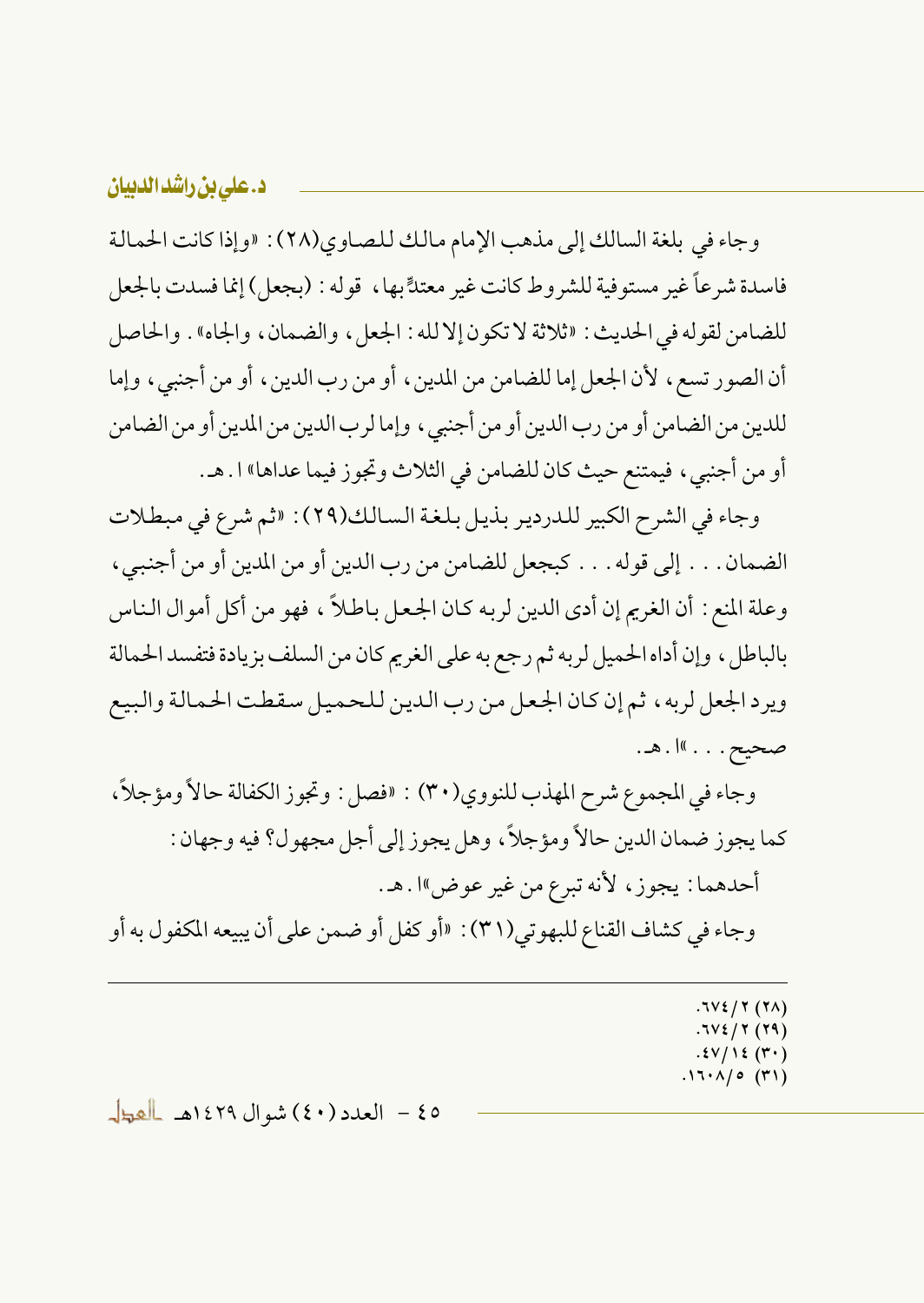وجاء في بلغة السالك إلى مذهب الإمام مالك للصاوى(٢٨) : «وإذا كانت الحمالة فاسدة شرعاً غير مستوفية للشروط كانت غير معتدٍّ بها ، قوله : (بجعل) إنما فسدت بالجعل للضامن لقوله في الحديث: «ثلاثة لا تكون إلا لله : الجعل ، والضمان ، والجاه» . والحاصل أن الصور تسع، لأن الجعل إما للضامن من المدين، أو من رب الدين، أو من أجنبي، وإما للدين من الضامن أو من رب الدين أو من أجنبي ، وإما لرب الدين من المدين أو من الضامن أو من أجنبي ، فيمتنع حيث كان للضامن في الثلاث وتجوز فيما عداها» ا . هـ .

وجاء في الشرح الكبير للدردير بذيل بلغة السالك(٢٩): «ثم شرع في مبطلات الضمان . . . إلى قوله . . . كبجعل للضامن من رب الدين أو من المدين أو من أجنبي ، وعلة المنع : أن الغريم إن أدى الدين لربه كان الجعل باطلاً ، فهو من أكل أموال الناس بالباطل ، وإن أداه الحميل لربه ثم رجع به على الغريم كان من السلف بزيادة فتفسد الحمالة ويرد الجعل لربه، ثم إن كان الجعل من رب الدين للحميل سقطت الحمالة والبيع صحيح . . . »ا . هـ.

وجاء في المجموع شرح المهذب للنووي(٣٠) : «فصل : وتجوز الكفالة حالاً ومؤجلاً، كما يجوز ضمان الدين حالاً ومؤجلاً، وهل يجوز إلى أجل مجهول؟ فيه وجهان : أحدهما : يجوز، لأنه تبرع من غير عوض"ا . هـ .

وجاء في كشاف القناع للبهوتي(٣١) : «أو كفل أو ضمن على أن يبيعه المكفول به أو

 $.7V\xi/\Upsilon(T\Lambda)$  $.7V\xi / 7(79)$  $.5V/15(V)$  $.17.1/0$  (٣١)

٥٤ - العدد (٤٠) شوال ١٤٢٩هـ العط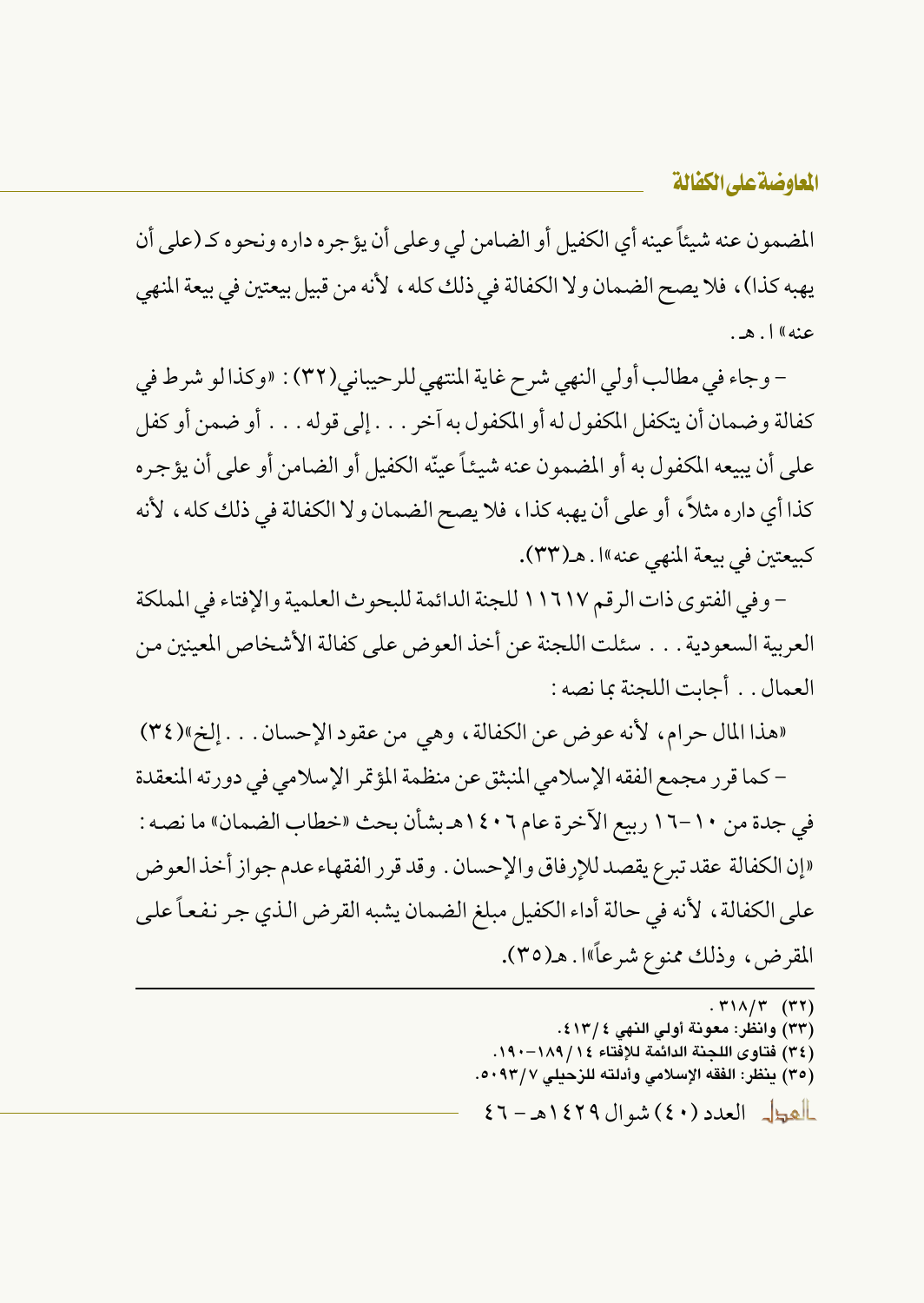المضمون عنه شيئاً عينه أي الكفيل أو الضامن لي وعلى أن يؤجره داره ونحوه كـ (على أن يهبه كذا) ، فلا يصح الضمان ولا الكفالة في ذلك كله ، لأنه من قبيل بيعتين في بيعة المنهي عنه» ل. هه.

- وجاء في مطالب أولى النهي شرح غاية المنتهى للرحيباني(٣٢) : «وكذا لو شرط في كفالة وضمان أن يتكفل المكفول له أو المكفول به آخر . . . إلى قوله . . . أو ضمن أو كفل على أن يبيعه المكفول به أو المضمون عنه شيئاً عينّه الكفيل أو الضامن أو على أن يؤجر ه كذا أي داره مثلاً، أو على أن يهبه كذا، فلا يصح الضمان ولا الكفالة في ذلك كله، لأنه كبيعتين في بيعة المنهي عنه»ا . هـ(٣٣).

– وفي الفتوى ذات الرقم ١١٦١٧ للجنة الدائمة للبحوث العلمية والإفتاء في المملكة العربية السعودية . . . سئلت اللجنة عن أخذ العوض على كفالة الأشخاص المعينين من العمال . . أجانت اللجنة بما نصه :

«هذا المال حرام، لأنه عوض عن الكفالة، وهي من عقود الإحسان . . . إلخ»(٣٤) – كما قرر مجمع الفقه الإسلامي المنبثق عن منظمة المؤتمر الإسلامي في دورته المنعقدة في جدة من ١٠-١٦ ربيع الآخرة عام ١٤٠٦هـ بشأن بحث «خطاب الضمان» ما نصه : «إن الكفالة عقد تبرع يقصد للإرفاق والإحسان . وقد قرر الفقهاء عدم جواز أخذ العوض على الكفالة ، لأنه في حالة أداء الكفيل مبلغ الضمان يشبه القرض الذي جر نفعاً على المقرض، وذلك ممنوع شرعاً»ا . هــ(٣٥).

 $. r1\Lambda/\Upsilon$  (۳۲)

- (٣٣) وانظر: معونة أولى النهي ٤ /١٣) .
- (٣٤) فتاوى اللجنة الدائمة للإفتاء ١٤/ ١٨٩–١٩٠.
- (٣٥) ينظر: الفقه الإسلامي وأدلته للزحيلي ٥٠٩٣/٧.

العطل العدد (٤٠) شوال ١٤٢٩هـ-٤٦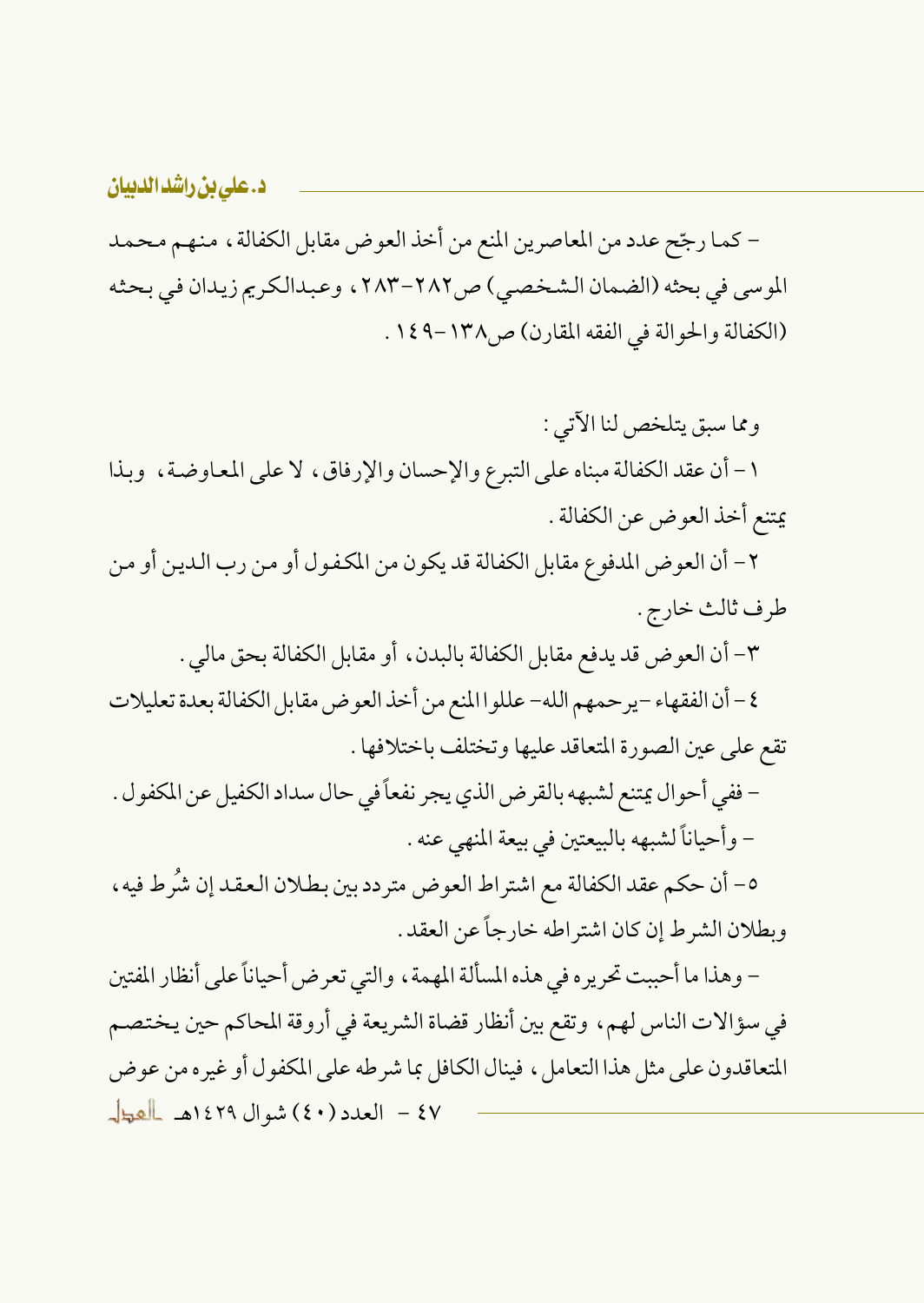– كما رجّح عدد من المعاصرين المنع من أخذ العوض مقابل الكفالة ، منهم محمد الموسى في بحثه (الضمان الشخصي) ص٢٨٢-٢٨٣ ، وعبدالكريم زيدان في بحثه (الكفالة والحوالة في الفقه المقارن) ص١٣٨-١٤٩.

ومما سبق يتلخص لنا الآتي : ١- أن عقد الكفالة مبناه على التبرع والإحسان والإرفاق، لا على المعاوضة، وبذا يمتنع أخذ العوض عن الكفالة .

٢ – أن العوض المدفوع مقابل الكفالة قد يكون من المكفول أو من رب الدين أو من طرف ثالث خارج .

٣- أن العوض قد يدفع مقابل الكفالة بالبدن، أو مقابل الكفالة بحق مالي .

٤ – أن الفقهاء –ير حمهم الله– عللو ا المنع من أخذ العو ض مقابل الكفالة بعدة تعليلات تقع على عين الصورة المتعاقد عليها وتختلف باختلافها .

– ففي أحو ال يمتنع لشبهه بالقر ض الذي يجر نفعاً في حال سداد الكفيل عن المكفو ل . - وأحياناً لشبهه بالبيعتين في بيعة المنهي عنه .

٥- أن حكم عقد الكفالة مع اشتراط العوض متردد بين بطلان العقد إن شُرط فيه، وبطلان الشرط إن كان اشتراطه خارجاً عن العقد .

– وهذا ما أحببت تحريره في هذه المسألة المهمة ، والتي تعرض أحياناً على أنظار المفتين في سؤالات الناس لهم، وتقع بين أنظار قضاة الشريعة في أروقة المحاكم حين يختصم المتعاقدون على مثل هذا التعامل ، فينال الكافل بما شرطه على المكفول أو غيره من عوض ٤٧ - العدد (٤٠) شوال ١٤٢٩هـ العطل